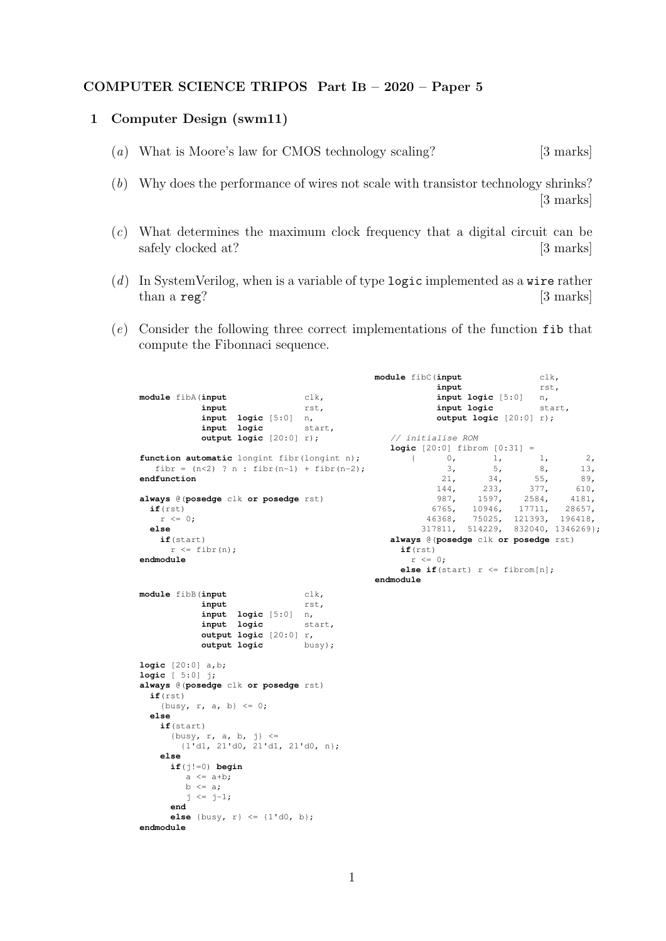## COMPUTER SCIENCE TRIPOS Part IB – 2020 – Paper 5

## 1 Computer Design (swm11)

- (a) What is Moore's law for CMOS technology scaling? [3 marks]
- (b) Why does the performance of wires not scale with transistor technology shrinks? [3 marks]
- (c) What determines the maximum clock frequency that a digital circuit can be safely clocked at? [3 marks]
- (d) In SystemVerilog, when is a variable of type logic implemented as a wire rather than a reg? [3] marks]
- (e) Consider the following three correct implementations of the function fib that compute the Fibonnaci sequence.

```
module fibA(input clk, input clk,
             input
             input logic [5:0] n,
             input logic start,
             output logic [20:0] r);
function automatic longint fibr(longint n);
  fibr = (n<2) ? n : fibr(n-1) + fibr(n-2);
endfunction
always @(posedge clk or posedge rst)
  if(rst)
    r \leq 0:
  else
    if(start)
      r \leq fibr(n);
endmodule
                                                 module fibC(input clk,
                                                               input rst,
                                                               input logic [5:0] n,
                                                               input logic
                                                               output logic [20:0] r);
                                                     // initialise ROM
                                                     logic [20:0] fibrom [0:31] = \begin{bmatrix} 0 & 1 & 1 \end{bmatrix}{ 0, 1, 1, 2,3, 5, 8, 13,
                                                               \begin{array}{cccc} 3, & 5, & 8, & 13, \\ 21, & 34, & 55, & 89, \\ 144, & 233, & 377, & 610, \end{array}144, 233, 377, 610,<br>987, 1597, 2584, 4181,
                                                             987, 1597, 2584, 4181,<br>6765, 10946, 17711, 28657,
                                                            6765, 10946,<br>46368, 75025,
                                                                      46368, 75025, 121393, 196418,
                                                           317811, 514229, 832040, 1346269};
                                                     always @(posedge clk or posedge rst)
                                                       if(rst)
                                                         r \leq 0:
                                                       else if(start) r \leq fibrom[n];
                                                  endmodule
module fibB(input clk,
             input rst,
             input logic [5:0] n,
             input logic start,
             output logic [20:0] r,<br>
output logic busy):
             output logic busy);
logic [20:0] a,b;
logic [ 5:0] j;
always @(posedge clk or posedge rst)
  if(rst)
    {busy, r, a, b} \leq 0;
  else
    if(start)
       \{busy, r, a, b, j\} \leq{1'd1, 21'd0, 21'd1, 21'd0, n};
    else
      if(j!=0) begin
         a \leq a+b;
         b \leq a;j \le j-1;end
      else {busy, r} <= {1'd0, b};
endmodule
```